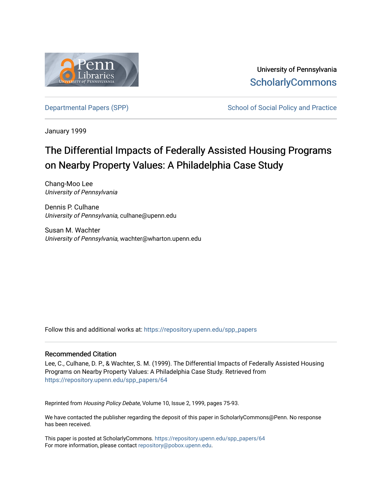

University of Pennsylvania **ScholarlyCommons** 

[Departmental Papers \(SPP\)](https://repository.upenn.edu/spp_papers) School of Social Policy and Practice

January 1999

# The Differential Impacts of Federally Assisted Housing Programs on Nearby Property Values: A Philadelphia Case Study

Chang-Moo Lee University of Pennsylvania

Dennis P. Culhane University of Pennsylvania, culhane@upenn.edu

Susan M. Wachter University of Pennsylvania, wachter@wharton.upenn.edu

Follow this and additional works at: [https://repository.upenn.edu/spp\\_papers](https://repository.upenn.edu/spp_papers?utm_source=repository.upenn.edu%2Fspp_papers%2F64&utm_medium=PDF&utm_campaign=PDFCoverPages) 

## Recommended Citation

Lee, C., Culhane, D. P., & Wachter, S. M. (1999). The Differential Impacts of Federally Assisted Housing Programs on Nearby Property Values: A Philadelphia Case Study. Retrieved from [https://repository.upenn.edu/spp\\_papers/64](https://repository.upenn.edu/spp_papers/64?utm_source=repository.upenn.edu%2Fspp_papers%2F64&utm_medium=PDF&utm_campaign=PDFCoverPages)

Reprinted from Housing Policy Debate, Volume 10, Issue 2, 1999, pages 75-93.

We have contacted the publisher regarding the deposit of this paper in ScholarlyCommons@Penn. No response has been received.

This paper is posted at ScholarlyCommons. [https://repository.upenn.edu/spp\\_papers/64](https://repository.upenn.edu/spp_papers/64)  For more information, please contact [repository@pobox.upenn.edu.](mailto:repository@pobox.upenn.edu)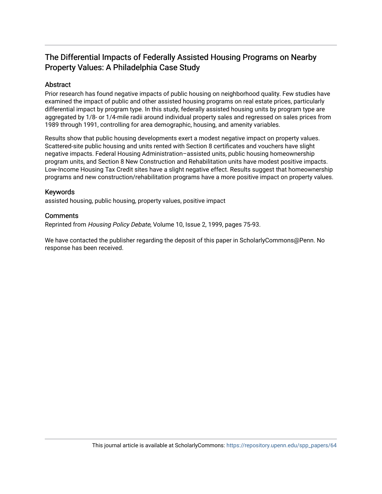# The Differential Impacts of Federally Assisted Housing Programs on Nearby Property Values: A Philadelphia Case Study

## Abstract

Prior research has found negative impacts of public housing on neighborhood quality. Few studies have examined the impact of public and other assisted housing programs on real estate prices, particularly differential impact by program type. In this study, federally assisted housing units by program type are aggregated by 1/8- or 1/4-mile radii around individual property sales and regressed on sales prices from 1989 through 1991, controlling for area demographic, housing, and amenity variables.

Results show that public housing developments exert a modest negative impact on property values. Scattered-site public housing and units rented with Section 8 certificates and vouchers have slight negative impacts. Federal Housing Administration–assisted units, public housing homeownership program units, and Section 8 New Construction and Rehabilitation units have modest positive impacts. Low-Income Housing Tax Credit sites have a slight negative effect. Results suggest that homeownership programs and new construction/rehabilitation programs have a more positive impact on property values.

## Keywords

assisted housing, public housing, property values, positive impact

## **Comments**

Reprinted from Housing Policy Debate, Volume 10, Issue 2, 1999, pages 75-93.

We have contacted the publisher regarding the deposit of this paper in ScholarlyCommons@Penn. No response has been received.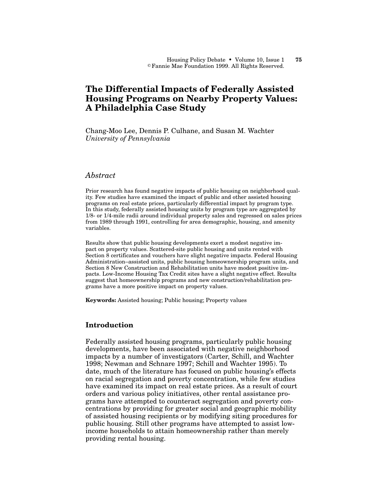## **The Differential Impacts of Federally Assisted Housing Programs on Nearby Property Values: A Philadelphia Case Study**

Chang-Moo Lee, Dennis P. Culhane, and Susan M. Wachter *University of Pennsylvania*

## *Abstract*

Prior research has found negative impacts of public housing on neighborhood quality. Few studies have examined the impact of public and other assisted housing programs on real estate prices, particularly differential impact by program type. In this study, federally assisted housing units by program type are aggregated by 1/8- or 1/4-mile radii around individual property sales and regressed on sales prices from 1989 through 1991, controlling for area demographic, housing, and amenity variables.

Results show that public housing developments exert a modest negative impact on property values. Scattered-site public housing and units rented with Section 8 certificates and vouchers have slight negative impacts. Federal Housing Administration–assisted units, public housing homeownership program units, and Section 8 New Construction and Rehabilitation units have modest positive impacts. Low-Income Housing Tax Credit sites have a slight negative effect. Results suggest that homeownership programs and new construction/rehabilitation programs have a more positive impact on property values.

**Keywords:** Assisted housing; Public housing; Property values

#### **Introduction**

Federally assisted housing programs, particularly public housing developments, have been associated with negative neighborhood impacts by a number of investigators (Carter, Schill, and Wachter 1998; Newman and Schnare 1997; Schill and Wachter 1995). To date, much of the literature has focused on public housing's effects on racial segregation and poverty concentration, while few studies have examined its impact on real estate prices. As a result of court orders and various policy initiatives, other rental assistance programs have attempted to counteract segregation and poverty concentrations by providing for greater social and geographic mobility of assisted housing recipients or by modifying siting procedures for public housing. Still other programs have attempted to assist lowincome households to attain homeownership rather than merely providing rental housing.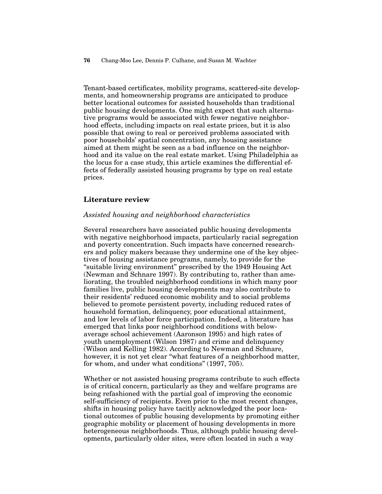Tenant-based certificates, mobility programs, scattered-site developments, and homeownership programs are anticipated to produce better locational outcomes for assisted households than traditional public housing developments. One might expect that such alternative programs would be associated with fewer negative neighborhood effects, including impacts on real estate prices, but it is also possible that owing to real or perceived problems associated with poor households' spatial concentration, any housing assistance aimed at them might be seen as a bad influence on the neighborhood and its value on the real estate market. Using Philadelphia as the locus for a case study, this article examines the differential effects of federally assisted housing programs by type on real estate prices.

## **Literature review**

#### *Assisted housing and neighborhood characteristics*

Several researchers have associated public housing developments with negative neighborhood impacts, particularly racial segregation and poverty concentration. Such impacts have concerned researchers and policy makers because they undermine one of the key objectives of housing assistance programs, namely, to provide for the "suitable living environment" prescribed by the 1949 Housing Act (Newman and Schnare 1997). By contributing to, rather than ameliorating, the troubled neighborhood conditions in which many poor families live, public housing developments may also contribute to their residents' reduced economic mobility and to social problems believed to promote persistent poverty, including reduced rates of household formation, delinquency, poor educational attainment, and low levels of labor force participation. Indeed, a literature has emerged that links poor neighborhood conditions with belowaverage school achievement (Aaronson 1995) and high rates of youth unemployment (Wilson 1987) and crime and delinquency (Wilson and Kelling 1982). According to Newman and Schnare, however, it is not yet clear ''what features of a neighborhood matter, for whom, and under what conditions'' (1997, 705).

Whether or not assisted housing programs contribute to such effects is of critical concern, particularly as they and welfare programs are being refashioned with the partial goal of improving the economic self-sufficiency of recipients. Even prior to the most recent changes, shifts in housing policy have tacitly acknowledged the poor locational outcomes of public housing developments by promoting either geographic mobility or placement of housing developments in more heterogeneous neighborhoods. Thus, although public housing developments, particularly older sites, were often located in such a way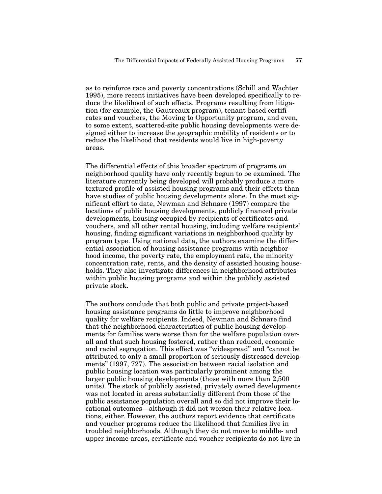as to reinforce race and poverty concentrations (Schill and Wachter 1995), more recent initiatives have been developed specifically to reduce the likelihood of such effects. Programs resulting from litigation (for example, the Gautreaux program), tenant-based certificates and vouchers, the Moving to Opportunity program, and even, to some extent, scattered-site public housing developments were designed either to increase the geographic mobility of residents or to reduce the likelihood that residents would live in high-poverty areas.

The differential effects of this broader spectrum of programs on neighborhood quality have only recently begun to be examined. The literature currently being developed will probably produce a more textured profile of assisted housing programs and their effects than have studies of public housing developments alone. In the most significant effort to date, Newman and Schnare (1997) compare the locations of public housing developments, publicly financed private developments, housing occupied by recipients of certificates and vouchers, and all other rental housing, including welfare recipients' housing, finding significant variations in neighborhood quality by program type. Using national data, the authors examine the differential association of housing assistance programs with neighborhood income, the poverty rate, the employment rate, the minority concentration rate, rents, and the density of assisted housing households. They also investigate differences in neighborhood attributes within public housing programs and within the publicly assisted private stock.

The authors conclude that both public and private project-based housing assistance programs do little to improve neighborhood quality for welfare recipients. Indeed, Newman and Schnare find that the neighborhood characteristics of public housing developments for families were worse than for the welfare population overall and that such housing fostered, rather than reduced, economic and racial segregation. This effect was ''widespread'' and ''cannot be attributed to only a small proportion of seriously distressed developments" (1997, 727). The association between racial isolation and public housing location was particularly prominent among the larger public housing developments (those with more than 2,500 units). The stock of publicly assisted, privately owned developments was not located in areas substantially different from those of the public assistance population overall and so did not improve their locational outcomes—although it did not worsen their relative locations, either. However, the authors report evidence that certificate and voucher programs reduce the likelihood that families live in troubled neighborhoods. Although they do not move to middle- and upper-income areas, certificate and voucher recipients do not live in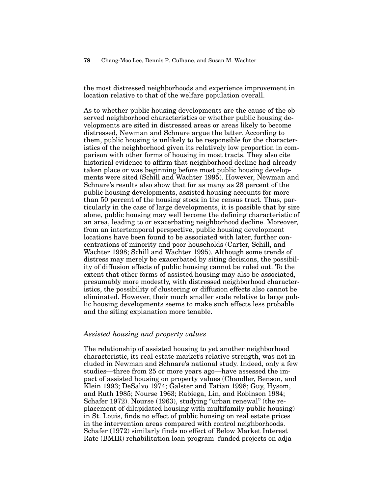the most distressed neighborhoods and experience improvement in location relative to that of the welfare population overall.

As to whether public housing developments are the cause of the observed neighborhood characteristics or whether public housing developments are sited in distressed areas or areas likely to become distressed, Newman and Schnare argue the latter. According to them, public housing is unlikely to be responsible for the characteristics of the neighborhood given its relatively low proportion in comparison with other forms of housing in most tracts. They also cite historical evidence to affirm that neighborhood decline had already taken place or was beginning before most public housing developments were sited (Schill and Wachter 1995). However, Newman and Schnare's results also show that for as many as 28 percent of the public housing developments, assisted housing accounts for more than 50 percent of the housing stock in the census tract. Thus, particularly in the case of large developments, it is possible that by size alone, public housing may well become the defining characteristic of an area, leading to or exacerbating neighborhood decline. Moreover, from an intertemporal perspective, public housing development locations have been found to be associated with later, further concentrations of minority and poor households (Carter, Schill, and Wachter 1998; Schill and Wachter 1995). Although some trends of distress may merely be exacerbated by siting decisions, the possibility of diffusion effects of public housing cannot be ruled out. To the extent that other forms of assisted housing may also be associated, presumably more modestly, with distressed neighborhood characteristics, the possibility of clustering or diffusion effects also cannot be eliminated. However, their much smaller scale relative to large public housing developments seems to make such effects less probable and the siting explanation more tenable.

## *Assisted housing and property values*

The relationship of assisted housing to yet another neighborhood characteristic, its real estate market's relative strength, was not included in Newman and Schnare's national study. Indeed, only a few studies—three from 25 or more years ago—have assessed the impact of assisted housing on property values (Chandler, Benson, and Klein 1993; DeSalvo 1974; Galster and Tatian 1998; Guy, Hysom, and Ruth 1985; Nourse 1963; Rabiega, Lin, and Robinson 1984; Schafer 1972). Nourse (1963), studying "urban renewal" (the replacement of dilapidated housing with multifamily public housing) in St. Louis, finds no effect of public housing on real estate prices in the intervention areas compared with control neighborhoods. Schafer (1972) similarly finds no effect of Below Market Interest Rate (BMIR) rehabilitation loan program–funded projects on adja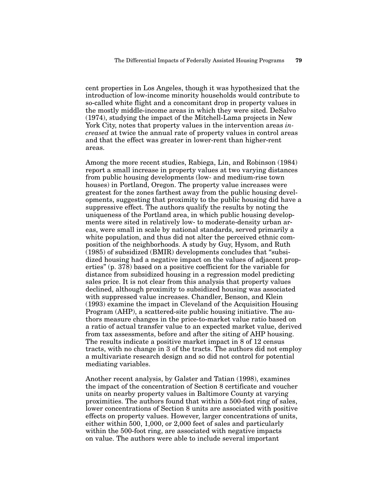cent properties in Los Angeles, though it was hypothesized that the introduction of low-income minority households would contribute to so-called white flight and a concomitant drop in property values in the mostly middle-income areas in which they were sited. DeSalvo (1974), studying the impact of the Mitchell-Lama projects in New York City, notes that property values in the intervention areas *increased* at twice the annual rate of property values in control areas and that the effect was greater in lower-rent than higher-rent areas.

Among the more recent studies, Rabiega, Lin, and Robinson (1984) report a small increase in property values at two varying distances from public housing developments (low- and medium-rise town houses) in Portland, Oregon. The property value increases were greatest for the zones farthest away from the public housing developments, suggesting that proximity to the public housing did have a suppressive effect. The authors qualify the results by noting the uniqueness of the Portland area, in which public housing developments were sited in relatively low- to moderate-density urban areas, were small in scale by national standards, served primarily a white population, and thus did not alter the perceived ethnic composition of the neighborhoods. A study by Guy, Hysom, and Ruth (1985) of subsidized (BMIR) developments concludes that ''subsidized housing had a negative impact on the values of adjacent properties'' (p. 378) based on a positive coefficient for the variable for distance from subsidized housing in a regression model predicting sales price. It is not clear from this analysis that property values declined, although proximity to subsidized housing was associated with suppressed value increases. Chandler, Benson, and Klein (1993) examine the impact in Cleveland of the Acquisition Housing Program (AHP), a scattered-site public housing initiative. The authors measure changes in the price-to-market value ratio based on a ratio of actual transfer value to an expected market value, derived from tax assessments, before and after the siting of AHP housing. The results indicate a positive market impact in 8 of 12 census tracts, with no change in 3 of the tracts. The authors did not employ a multivariate research design and so did not control for potential mediating variables.

Another recent analysis, by Galster and Tatian (1998), examines the impact of the concentration of Section 8 certificate and voucher units on nearby property values in Baltimore County at varying proximities. The authors found that within a 500-foot ring of sales, lower concentrations of Section 8 units are associated with positive effects on property values. However, larger concentrations of units, either within 500, 1,000, or 2,000 feet of sales and particularly within the 500-foot ring, are associated with negative impacts on value. The authors were able to include several important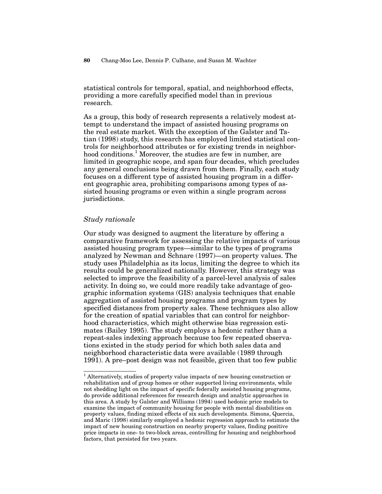**80** Chang-Moo Lee, Dennis P. Culhane, and Susan M. Wachter

statistical controls for temporal, spatial, and neighborhood effects, providing a more carefully specified model than in previous research.

As a group, this body of research represents a relatively modest attempt to understand the impact of assisted housing programs on the real estate market. With the exception of the Galster and Tatian (1998) study, this research has employed limited statistical controls for neighborhood attributes or for existing trends in neighborhood conditions.<sup>1</sup> Moreover, the studies are few in number, are limited in geographic scope, and span four decades, which precludes any general conclusions being drawn from them. Finally, each study focuses on a different type of assisted housing program in a different geographic area, prohibiting comparisons among types of assisted housing programs or even within a single program across jurisdictions.

## *Study rationale*

Our study was designed to augment the literature by offering a comparative framework for assessing the relative impacts of various assisted housing program types—similar to the types of programs analyzed by Newman and Schnare (1997)—on property values. The study uses Philadelphia as its locus, limiting the degree to which its results could be generalized nationally. However, this strategy was selected to improve the feasibility of a parcel-level analysis of sales activity. In doing so, we could more readily take advantage of geographic information systems (GIS) analysis techniques that enable aggregation of assisted housing programs and program types by specified distances from property sales. These techniques also allow for the creation of spatial variables that can control for neighborhood characteristics, which might otherwise bias regression estimates (Bailey 1995). The study employs a hedonic rather than a repeat-sales indexing approach because too few repeated observations existed in the study period for which both sales data and neighborhood characteristic data were available (1989 through 1991). A pre–post design was not feasible, given that too few public

<sup>&</sup>lt;sup>1</sup> Alternatively, studies of property value impacts of new housing construction or rehabilitation and of group homes or other supported living environments, while not shedding light on the impact of specific federally assisted housing programs, do provide additional references for research design and analytic approaches in this area. A study by Galster and Williams (1994) used hedonic price models to examine the impact of community housing for people with mental disabilities on property values, finding mixed effects of six such developments. Simons, Quercia, and Maric (1998) similarly employed a hedonic regression approach to estimate the impact of new housing construction on nearby property values, finding positive price impacts in one- to two-block areas, controlling for housing and neighborhood factors, that persisted for two years.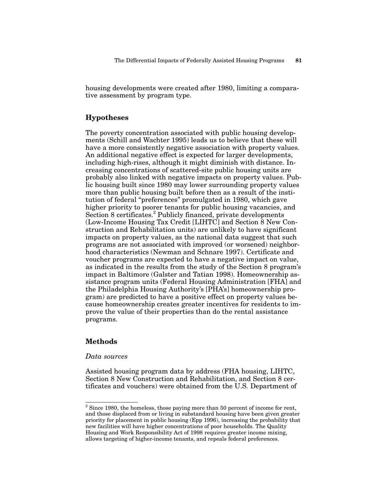housing developments were created after 1980, limiting a comparative assessment by program type.

## **Hypotheses**

The poverty concentration associated with public housing developments (Schill and Wachter 1995) leads us to believe that these will have a more consistently negative association with property values. An additional negative effect is expected for larger developments, including high-rises, although it might diminish with distance. Increasing concentrations of scattered-site public housing units are probably also linked with negative impacts on property values. Public housing built since 1980 may lower surrounding property values more than public housing built before then as a result of the institution of federal ''preferences'' promulgated in 1980, which gave higher priority to poorer tenants for public housing vacancies, and Section 8 certificates.<sup>2</sup> Publicly financed, private developments (Low-Income Housing Tax Credit [LIHTC] and Section 8 New Construction and Rehabilitation units) are unlikely to have significant impacts on property values, as the national data suggest that such programs are not associated with improved (or worsened) neighborhood characteristics (Newman and Schnare 1997). Certificate and voucher programs are expected to have a negative impact on value, as indicated in the results from the study of the Section 8 program's impact in Baltimore (Galster and Tatian 1998). Homeownership assistance program units (Federal Housing Administration [FHA] and the Philadelphia Housing Authority's [PHA's] homeownership program) are predicted to have a positive effect on property values because homeownership creates greater incentives for residents to improve the value of their properties than do the rental assistance programs.

## **Methods**

#### *Data sources*

Assisted housing program data by address (FHA housing, LIHTC, Section 8 New Construction and Rehabilitation, and Section 8 certificates and vouchers) were obtained from the U.S. Department of

 $2$  Since 1980, the homeless, those paying more than 50 percent of income for rent, and those displaced from or living in substandard housing have been given greater priority for placement in public housing (Epp 1996), increasing the probability that new facilities will have higher concentrations of poor households. The Quality Housing and Work Responsibility Act of 1998 requires greater income mixing, allows targeting of higher-income tenants, and repeals federal preferences.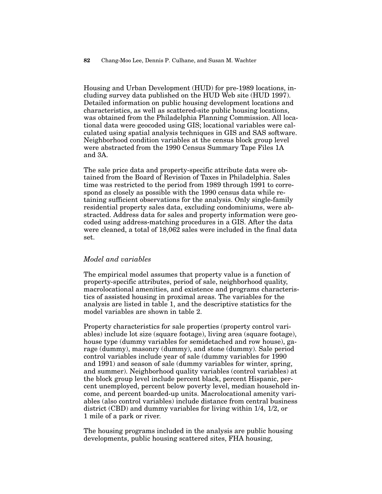#### **82** Chang-Moo Lee, Dennis P. Culhane, and Susan M. Wachter

Housing and Urban Development (HUD) for pre-1989 locations, including survey data published on the HUD Web site (HUD 1997). Detailed information on public housing development locations and characteristics, as well as scattered-site public housing locations, was obtained from the Philadelphia Planning Commission. All locational data were geocoded using GIS; locational variables were calculated using spatial analysis techniques in GIS and SAS software. Neighborhood condition variables at the census block group level were abstracted from the 1990 Census Summary Tape Files 1A and 3A.

The sale price data and property-specific attribute data were obtained from the Board of Revision of Taxes in Philadelphia. Sales time was restricted to the period from 1989 through 1991 to correspond as closely as possible with the 1990 census data while retaining sufficient observations for the analysis. Only single-family residential property sales data, excluding condominiums, were abstracted. Address data for sales and property information were geocoded using address-matching procedures in a GIS. After the data were cleaned, a total of 18,062 sales were included in the final data set.

#### *Model and variables*

The empirical model assumes that property value is a function of property-specific attributes, period of sale, neighborhood quality, macrolocational amenities, and existence and programs characteristics of assisted housing in proximal areas. The variables for the analysis are listed in table 1, and the descriptive statistics for the model variables are shown in table 2.

Property characteristics for sale properties (property control variables) include lot size (square footage), living area (square footage), house type (dummy variables for semidetached and row house), garage (dummy), masonry (dummy), and stone (dummy). Sale period control variables include year of sale (dummy variables for 1990 and 1991) and season of sale (dummy variables for winter, spring, and summer). Neighborhood quality variables (control variables) at the block group level include percent black, percent Hispanic, percent unemployed, percent below poverty level, median household income, and percent boarded-up units. Macrolocational amenity variables (also control variables) include distance from central business district (CBD) and dummy variables for living within 1/4, 1/2, or 1 mile of a park or river.

The housing programs included in the analysis are public housing developments, public housing scattered sites, FHA housing,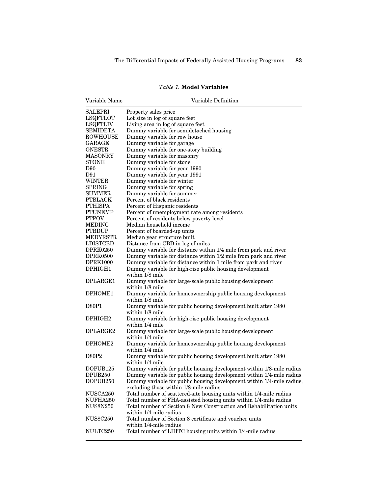| Variable Name        | Variable Definition                                                   |
|----------------------|-----------------------------------------------------------------------|
| SALEPRI              | Property sales price                                                  |
| <b>LSQFTLOT</b>      | Lot size in log of square feet                                        |
| LSQFTLIV             | Living area in log of square feet                                     |
| <b>SEMIDETA</b>      | Dummy variable for semidetached housing                               |
| <b>ROWHOUSE</b>      | Dummy variable for row house                                          |
| GARAGE               | Dummy variable for garage                                             |
| <b>ONESTR</b>        | Dummy variable for one-story building                                 |
| <b>MASONRY</b>       | Dummy variable for masonry                                            |
| <b>STONE</b>         | Dummy variable for stone                                              |
| D <sub>90</sub>      | Dummy variable for year 1990                                          |
| D91                  | Dummy variable for year 1991                                          |
| <b>WINTER</b>        | Dummy variable for winter                                             |
| SPRING               | Dummy variable for spring                                             |
| SUMMER               | Dummy variable for summer                                             |
| <b>PTBLACK</b>       | Percent of black residents                                            |
| <b>PTHISPA</b>       | Percent of Hispanic residents                                         |
| <b>PTUNEMP</b>       | Percent of unemployment rate among residents                          |
| <b>PTPOV</b>         | Percent of residents below poverty level                              |
| <b>MEDINC</b>        | Median household income                                               |
| <b>PTBDUP</b>        | Percent of boarded-up units                                           |
| <b>MEDYRSTR</b>      | Median year structure built                                           |
| LDISTCBD             | Distance from CBD in log of miles                                     |
| DPRK0250             | Dummy variable for distance within 1/4 mile from park and river       |
| DPRK0500             | Dummy variable for distance within 1/2 mile from park and river       |
| <b>DPRK1000</b>      | Dummy variable for distance within 1 mile from park and river         |
| DPHIGH1              | Dummy variable for high-rise public housing development               |
|                      | within 1/8 mile                                                       |
| DPLARGE1             | Dummy variable for large-scale public housing development             |
|                      | within 1/8 mile                                                       |
| DPHOME1              | Dummy variable for homeownership public housing development           |
|                      | within 1/8 mile                                                       |
| D80P1                | Dummy variable for public housing development built after 1980        |
|                      | within 1/8 mile                                                       |
| DPHIGH <sub>2</sub>  | Dummy variable for high-rise public housing development               |
|                      | within 1/4 mile                                                       |
| DPLARGE2             | Dummy variable for large-scale public housing development             |
|                      | within 1/4 mile                                                       |
| DPHOME2              | Dummy variable for homeownership public housing development           |
|                      | within 1/4 mile                                                       |
| D80P2                | Dummy variable for public housing development built after 1980        |
|                      | within 1/4 mile                                                       |
| DOPUB <sub>125</sub> | Dummy variable for public housing development within 1/8-mile radius  |
| DPUB <sub>250</sub>  | Dummy variable for public housing development within 1/4-mile radius  |
| DOPUB <sub>250</sub> | Dummy variable for public housing development within 1/4-mile radius, |
|                      | excluding those within 1/8-mile radius                                |
| NUSCA250             | Total number of scattered-site housing units within 1/4-mile radius   |
| NUFHA250             | Total number of FHA-assisted housing units within 1/4-mile radius     |
| <b>NUS8N250</b>      | Total number of Section 8 New Construction and Rehabilitation units   |
|                      | within 1/4-mile radius                                                |
| <b>NUS8C250</b>      | Total number of Section 8 certificate and voucher units               |
|                      | within 1/4-mile radius                                                |
| NULTC250             | Total number of LIHTC housing units within 1/4-mile radius            |

## *Table 1.* **Model Variables**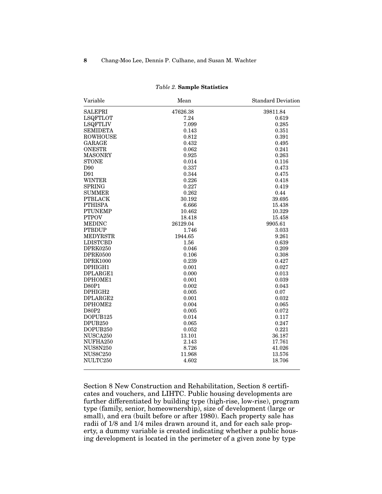| Variable             | Mean     | <b>Standard Deviation</b> |
|----------------------|----------|---------------------------|
| <b>SALEPRI</b>       | 47626.38 | 39811.84                  |
| <b>LSQFTLOT</b>      | 7.24     | 0.619                     |
| <b>LSQFTLIV</b>      | 7.099    | 0.285                     |
| <b>SEMIDETA</b>      | 0.143    | 0.351                     |
| <b>ROWHOUSE</b>      | 0.812    | 0.391                     |
| <b>GARAGE</b>        | 0.432    | 0.495                     |
| <b>ONESTR</b>        | 0.062    | 0.241                     |
| <b>MASONRY</b>       | 0.925    | 0.263                     |
| <b>STONE</b>         | 0.014    | 0.116                     |
| D90                  | 0.337    | 0.473                     |
| D91                  | 0.344    | 0.475                     |
| <b>WINTER</b>        | 0.226    | 0.418                     |
| <b>SPRING</b>        | 0.227    | 0.419                     |
| <b>SUMMER</b>        | 0.262    | 0.44                      |
| <b>PTBLACK</b>       | 30.192   | 39.695                    |
| <b>PTHISPA</b>       | 6.666    | 15.438                    |
| <b>PTUNEMP</b>       | 10.462   | 10.329                    |
| <b>PTPOV</b>         | 18.418   | 15.458                    |
| <b>MEDINC</b>        | 26129.04 | 9905.61                   |
| <b>PTBDUP</b>        | 1.746    | 3.033                     |
| <b>MEDYRSTR</b>      | 1944.65  | 9.261                     |
| <b>LDISTCBD</b>      | 1.56     | 0.639                     |
| DPRK0250             | 0.046    | 0.209                     |
| DPRK0500             | 0.106    | 0.308                     |
| <b>DPRK1000</b>      | 0.239    | 0.427                     |
| DPHIGH1              | 0.001    | 0.027                     |
| DPLARGE1             | 0.000    | 0.013                     |
| DPHOME1              | 0.001    | 0.039                     |
| D80P1                | 0.002    | 0.043                     |
| DPHIGH <sub>2</sub>  | 0.005    | 0.07                      |
| DPLARGE2             | 0.001    | 0.032                     |
| DPHOME2              | 0.004    | 0.065                     |
| D80P2                | 0.005    | 0.072                     |
| DOPUB <sub>125</sub> | 0.014    | 0.117                     |
| DPUB <sub>250</sub>  | 0.065    | 0.247                     |
| DOPUB <sub>250</sub> | 0.052    | 0.221                     |
| NUSCA250             | 13.101   | 36.187                    |
| NUFHA250             | 2.143    | 17.761                    |
| <b>NUS8N250</b>      | 8.726    | 41.026                    |
| <b>NUS8C250</b>      | 11.968   | 13.576                    |
| NULTC250             | 4.602    | 18.706                    |
|                      |          |                           |

#### *Table 2.* **Sample Statistics**

Section 8 New Construction and Rehabilitation, Section 8 certificates and vouchers, and LIHTC. Public housing developments are further differentiated by building type (high-rise, low-rise), program type (family, senior, homeownership), size of development (large or small), and era (built before or after 1980). Each property sale has radii of 1/8 and 1/4 miles drawn around it, and for each sale property, a dummy variable is created indicating whether a public housing development is located in the perimeter of a given zone by type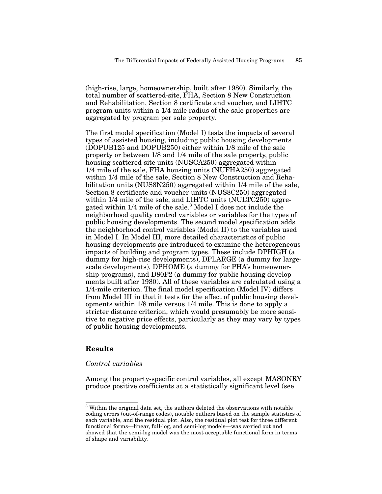(high-rise, large, homeownership, built after 1980). Similarly, the total number of scattered-site, FHA, Section 8 New Construction and Rehabilitation, Section 8 certificate and voucher, and LIHTC program units within a 1/4-mile radius of the sale properties are aggregated by program per sale property.

The first model specification (Model I) tests the impacts of several types of assisted housing, including public housing developments (DOPUB125 and DOPUB250) either within 1/8 mile of the sale property or between 1/8 and 1/4 mile of the sale property, public housing scattered-site units (NUSCA250) aggregated within 1/4 mile of the sale, FHA housing units (NUFHA250) aggregated within 1/4 mile of the sale, Section 8 New Construction and Rehabilitation units (NUS8N250) aggregated within 1/4 mile of the sale, Section 8 certificate and voucher units (NUS8C250) aggregated within  $1/4$  mile of the sale, and LIHTC units (NULTC250) aggregated within 1/4 mile of the sale.<sup>3</sup> Model I does not include the neighborhood quality control variables or variables for the types of public housing developments. The second model specification adds the neighborhood control variables (Model II) to the variables used in Model I. In Model III, more detailed characteristics of public housing developments are introduced to examine the heterogeneous impacts of building and program types. These include DPHIGH (a dummy for high-rise developments), DPLARGE (a dummy for largescale developments), DPHOME (a dummy for PHA's homeownership programs), and D80P2 (a dummy for public housing developments built after 1980). All of these variables are calculated using a 1/4-mile criterion. The final model specification (Model IV) differs from Model III in that it tests for the effect of public housing developments within 1/8 mile versus 1/4 mile. This is done to apply a stricter distance criterion, which would presumably be more sensitive to negative price effects, particularly as they may vary by types of public housing developments.

## **Results**

#### *Control variables*

Among the property-specific control variables, all except MASONRY produce positive coefficients at a statistically significant level (see

 $^{\rm 3}$  Within the original data set, the authors deleted the observations with notable coding errors (out-of-range codes), notable outliers based on the sample statistics of each variable, and the residual plot. Also, the residual plot test for three different functional forms—linear, full-log, and semi-log models—was carried out and showed that the semi-log model was the most acceptable functional form in terms of shape and variability.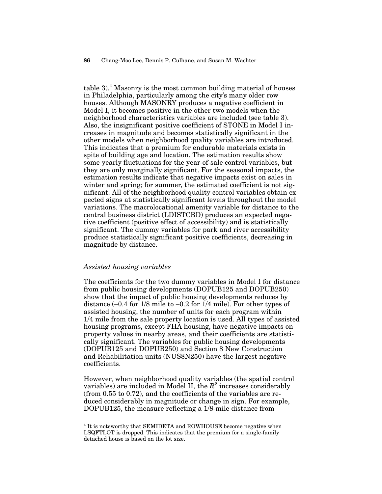table  $3$ ).<sup>4</sup> Masonry is the most common building material of houses in Philadelphia, particularly among the city's many older row houses. Although MASONRY produces a negative coefficient in Model I, it becomes positive in the other two models when the neighborhood characteristics variables are included (see table 3). Also, the insignificant positive coefficient of STONE in Model I increases in magnitude and becomes statistically significant in the other models when neighborhood quality variables are introduced. This indicates that a premium for endurable materials exists in spite of building age and location. The estimation results show some yearly fluctuations for the year-of-sale control variables, but they are only marginally significant. For the seasonal impacts, the estimation results indicate that negative impacts exist on sales in winter and spring; for summer, the estimated coefficient is not significant. All of the neighborhood quality control variables obtain expected signs at statistically significant levels throughout the model variations. The macrolocational amenity variable for distance to the central business district (LDISTCBD) produces an expected negative coefficient (positive effect of accessibility) and is statistically significant. The dummy variables for park and river accessibility produce statistically significant positive coefficients, decreasing in magnitude by distance.

## *Assisted housing variables*

The coefficients for the two dummy variables in Model I for distance from public housing developments (DOPUB125 and DOPUB250) show that the impact of public housing developments reduces by distance (–0.4 for 1/8 mile to –0.2 for 1/4 mile). For other types of assisted housing, the number of units for each program within 1/4 mile from the sale property location is used. All types of assisted housing programs, except FHA housing, have negative impacts on property values in nearby areas, and their coefficients are statistically significant. The variables for public housing developments (DOPUB125 and DOPUB250) and Section 8 New Construction and Rehabilitation units (NUS8N250) have the largest negative coefficients.

However, when neighborhood quality variables (the spatial control variables) are included in Model II, the  $R^2$  increases considerably (from 0.55 to 0.72), and the coefficients of the variables are reduced considerably in magnitude or change in sign. For example, DOPUB125, the measure reflecting a 1/8-mile distance from

 $^4$  It is noteworthy that SEMIDETA and ROWHOUSE become negative when  $\,$ LSQFTLOT is dropped. This indicates that the premium for a single-family detached house is based on the lot size.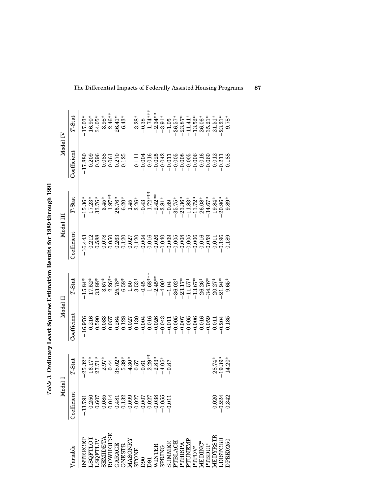|                                                                                                                                                                                                                                                               | Model I                                                                                                                                                                                                                                                                                                             |                                                                     | Model II           |        | Model III   |        | Model IV                                                                                   |        |
|---------------------------------------------------------------------------------------------------------------------------------------------------------------------------------------------------------------------------------------------------------------|---------------------------------------------------------------------------------------------------------------------------------------------------------------------------------------------------------------------------------------------------------------------------------------------------------------------|---------------------------------------------------------------------|--------------------|--------|-------------|--------|--------------------------------------------------------------------------------------------|--------|
| ariable                                                                                                                                                                                                                                                       | $\operatorname{Coefficient}$                                                                                                                                                                                                                                                                                        | T-Stat                                                              | $\alpha$ efficient | T-Stat | Coefficient | T-Stat | befficient                                                                                 | T-Stat |
|                                                                                                                                                                                                                                                               |                                                                                                                                                                                                                                                                                                                     |                                                                     |                    |        |             |        |                                                                                            |        |
| NTERCEP<br>LSQFTLOT<br>CSQFTLIV<br>SEMIDETA<br>SEMIDETA<br>CARAGE CARAGE<br>CARAGE CONESTR<br>CONESTRA SUMMER<br>SERING PTELACK<br>SERING PTELACK<br>SENMER<br>SENMER<br>PTELACK<br>PTELACK<br>PTELACK<br>PTELACK<br>PTELACK<br>PTELACK<br>PTELACK<br>PTELACK | $\begin{smallmatrix} 101 \\ 253 \\ 250 \\ 0.00 \\ 0.00 \\ 0.00 \\ 0.00 \\ 0.00 \\ 0.00 \\ 0.00 \\ 0.00 \\ 0.00 \\ 0.00 \\ 0.00 \\ 0.00 \\ 0.00 \\ 0.00 \\ 0.00 \\ 0.00 \\ 0.00 \\ 0.00 \\ 0.00 \\ 0.00 \\ 0.00 \\ 0.00 \\ 0.00 \\ 0.00 \\ 0.00 \\ 0.00 \\ 0.00 \\ 0.00 \\ 0.00 \\ 0.00 \\ 0.00 \\ 0.00 \\ 0.00 \\ $ |                                                                     |                    |        |             |        | $-17.880$<br>$0.209$<br>$0.596$<br>$0.0088$<br>$0.00001$<br>$0.200$<br>$0.0001$<br>$0.125$ |        |
|                                                                                                                                                                                                                                                               |                                                                                                                                                                                                                                                                                                                     |                                                                     |                    |        |             |        |                                                                                            |        |
|                                                                                                                                                                                                                                                               |                                                                                                                                                                                                                                                                                                                     |                                                                     |                    |        |             |        |                                                                                            |        |
|                                                                                                                                                                                                                                                               |                                                                                                                                                                                                                                                                                                                     |                                                                     |                    |        |             |        |                                                                                            |        |
|                                                                                                                                                                                                                                                               |                                                                                                                                                                                                                                                                                                                     |                                                                     |                    |        |             |        |                                                                                            |        |
|                                                                                                                                                                                                                                                               |                                                                                                                                                                                                                                                                                                                     |                                                                     |                    |        |             |        |                                                                                            |        |
|                                                                                                                                                                                                                                                               |                                                                                                                                                                                                                                                                                                                     |                                                                     |                    |        |             |        |                                                                                            |        |
|                                                                                                                                                                                                                                                               |                                                                                                                                                                                                                                                                                                                     |                                                                     |                    |        |             |        |                                                                                            |        |
|                                                                                                                                                                                                                                                               |                                                                                                                                                                                                                                                                                                                     |                                                                     |                    |        |             |        |                                                                                            |        |
|                                                                                                                                                                                                                                                               |                                                                                                                                                                                                                                                                                                                     |                                                                     |                    |        |             |        |                                                                                            |        |
|                                                                                                                                                                                                                                                               |                                                                                                                                                                                                                                                                                                                     |                                                                     |                    |        |             |        |                                                                                            |        |
|                                                                                                                                                                                                                                                               |                                                                                                                                                                                                                                                                                                                     |                                                                     |                    |        |             |        |                                                                                            |        |
|                                                                                                                                                                                                                                                               |                                                                                                                                                                                                                                                                                                                     |                                                                     |                    |        |             |        |                                                                                            |        |
|                                                                                                                                                                                                                                                               |                                                                                                                                                                                                                                                                                                                     |                                                                     |                    |        |             |        |                                                                                            |        |
|                                                                                                                                                                                                                                                               |                                                                                                                                                                                                                                                                                                                     |                                                                     |                    |        |             |        |                                                                                            |        |
|                                                                                                                                                                                                                                                               |                                                                                                                                                                                                                                                                                                                     |                                                                     |                    |        |             |        |                                                                                            |        |
|                                                                                                                                                                                                                                                               |                                                                                                                                                                                                                                                                                                                     |                                                                     |                    |        |             |        |                                                                                            |        |
|                                                                                                                                                                                                                                                               |                                                                                                                                                                                                                                                                                                                     |                                                                     |                    |        |             |        |                                                                                            |        |
|                                                                                                                                                                                                                                                               |                                                                                                                                                                                                                                                                                                                     |                                                                     |                    |        |             |        |                                                                                            |        |
|                                                                                                                                                                                                                                                               |                                                                                                                                                                                                                                                                                                                     |                                                                     |                    |        |             |        |                                                                                            |        |
|                                                                                                                                                                                                                                                               | $-0.224$<br>$-0.2342$<br>0.342                                                                                                                                                                                                                                                                                      | $\begin{array}{r} 28.74^{*} \\ -19.39^{*} \\ 14.20^{*} \end{array}$ |                    |        |             |        |                                                                                            |        |
|                                                                                                                                                                                                                                                               |                                                                                                                                                                                                                                                                                                                     |                                                                     |                    |        |             |        |                                                                                            |        |

| J<br>֧֧֧֖֖֖֖֖֖֚֚֚֚֚֚֚֚֚֚֚֚֚֚֚֚֚֚֚֚֚֚֚֚֬֡֡֡֡֡֬֝֬֝֬֝֬ |
|-----------------------------------------------------|
|                                                     |
|                                                     |
| <br> <br> <br>                                      |
| ٦<br>l                                              |
| ı<br>j                                              |
| I                                                   |
| ١<br>l                                              |
| i<br>l                                              |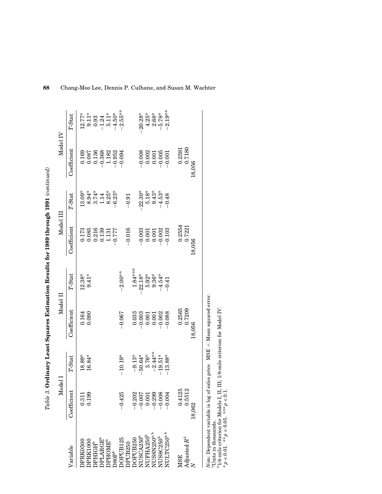| 0.2554<br>Coefficient<br>$-0.016$<br>0.173<br>0.085<br>0.216<br>0.139<br>$-0.003$<br>$-0.002$<br>$-0.103$<br>$-0.777$<br>0.001<br>0.001<br>1.131<br>$1.84***$<br>$-2.00**$<br>T-Stat<br>$9.41*$<br>$-22.18*$<br>$12.38*$<br>5.92*<br>$9.36*$<br>$-4.54*$<br>$-0.41$<br>0.2565<br>Coefficient<br>0.090<br>$-0.067$<br>$-0.088$<br>0.033<br>$-0.002$<br>0.164<br>$-0.003$<br>0.001<br>0.001<br>$-2.44**$<br>$-10.19*$<br>$-50.64*$<br>$3.76*$<br>$-19.51*$<br>16.84*<br>$-9.13*$<br>$-13.88*$<br>18.89*<br>T-Stat<br>0.4125<br>0.5512<br>Coefficient<br>$-0.425$<br>$\begin{array}{c} 0.311 \\ 0.199 \end{array}$<br>$NUS8N250^{a,b}$<br>VULTC250 <sup>a,b</sup><br>DOPUB250<br>NUSCA250 <sup>b</sup><br>NUFHA250 <sup>b</sup><br>NUS8C250 <sup>b</sup><br>Adjusted $R^2$<br>N<br>DOPUB125<br>DPUB250<br>DPLARGE <sup>ь</sup><br>DPHOME <sup>ь</sup><br>D80P <sup>ь</sup><br>DPRK1000<br>DPHIGH <sup>b</sup><br><b>DPRK0500</b><br>Variable<br><b>MSE</b> | Model I | Model I | Model II |                 | Model IV                                      |            |
|---------------------------------------------------------------------------------------------------------------------------------------------------------------------------------------------------------------------------------------------------------------------------------------------------------------------------------------------------------------------------------------------------------------------------------------------------------------------------------------------------------------------------------------------------------------------------------------------------------------------------------------------------------------------------------------------------------------------------------------------------------------------------------------------------------------------------------------------------------------------------------------------------------------------------------------------------------|---------|---------|----------|-----------------|-----------------------------------------------|------------|
|                                                                                                                                                                                                                                                                                                                                                                                                                                                                                                                                                                                                                                                                                                                                                                                                                                                                                                                                                         |         |         |          | T-Stat          | Coefficient                                   | T-Stat     |
|                                                                                                                                                                                                                                                                                                                                                                                                                                                                                                                                                                                                                                                                                                                                                                                                                                                                                                                                                         |         |         |          | 13.09*          | 0.169                                         | $12.77*$   |
|                                                                                                                                                                                                                                                                                                                                                                                                                                                                                                                                                                                                                                                                                                                                                                                                                                                                                                                                                         |         |         |          | 8.94*           |                                               | $9.11*$    |
|                                                                                                                                                                                                                                                                                                                                                                                                                                                                                                                                                                                                                                                                                                                                                                                                                                                                                                                                                         |         |         |          |                 | $\begin{array}{c} 0.087 \\ 0.136 \end{array}$ | 0.93       |
|                                                                                                                                                                                                                                                                                                                                                                                                                                                                                                                                                                                                                                                                                                                                                                                                                                                                                                                                                         |         |         |          | $3.74*$<br>1.14 | $-0.368$                                      | $-1.24$    |
|                                                                                                                                                                                                                                                                                                                                                                                                                                                                                                                                                                                                                                                                                                                                                                                                                                                                                                                                                         |         |         |          | $8.25*$         | 1.182                                         | $5.11*$    |
|                                                                                                                                                                                                                                                                                                                                                                                                                                                                                                                                                                                                                                                                                                                                                                                                                                                                                                                                                         |         |         |          | $-6.23*$        | $-0.952$                                      | $-4.50*$   |
|                                                                                                                                                                                                                                                                                                                                                                                                                                                                                                                                                                                                                                                                                                                                                                                                                                                                                                                                                         |         |         |          |                 | $-0.094$                                      | $-2.55***$ |
|                                                                                                                                                                                                                                                                                                                                                                                                                                                                                                                                                                                                                                                                                                                                                                                                                                                                                                                                                         |         |         |          | $-0.91$         |                                               |            |
|                                                                                                                                                                                                                                                                                                                                                                                                                                                                                                                                                                                                                                                                                                                                                                                                                                                                                                                                                         |         |         |          |                 |                                               |            |
|                                                                                                                                                                                                                                                                                                                                                                                                                                                                                                                                                                                                                                                                                                                                                                                                                                                                                                                                                         |         |         |          | $-22.30*$       | $-0.008$                                      | $-20.28*$  |
|                                                                                                                                                                                                                                                                                                                                                                                                                                                                                                                                                                                                                                                                                                                                                                                                                                                                                                                                                         |         |         |          | $5.18*$         | 0.002                                         | $4.25*$    |
|                                                                                                                                                                                                                                                                                                                                                                                                                                                                                                                                                                                                                                                                                                                                                                                                                                                                                                                                                         |         |         |          | $9.43*$         | 0.001                                         | $2.68*$    |
|                                                                                                                                                                                                                                                                                                                                                                                                                                                                                                                                                                                                                                                                                                                                                                                                                                                                                                                                                         |         |         |          | $-4.53*$        | $-0.005$                                      | $-5.78*$   |
|                                                                                                                                                                                                                                                                                                                                                                                                                                                                                                                                                                                                                                                                                                                                                                                                                                                                                                                                                         |         |         |          | $-0.48$         | $-0.001$                                      | $-2.19**$  |
|                                                                                                                                                                                                                                                                                                                                                                                                                                                                                                                                                                                                                                                                                                                                                                                                                                                                                                                                                         |         |         |          |                 | 0.2591                                        |            |
|                                                                                                                                                                                                                                                                                                                                                                                                                                                                                                                                                                                                                                                                                                                                                                                                                                                                                                                                                         |         | 0.7209  | 0.7221   |                 | 0.7180                                        |            |
| 18,056<br>18,056<br>18,062                                                                                                                                                                                                                                                                                                                                                                                                                                                                                                                                                                                                                                                                                                                                                                                                                                                                                                                              |         |         |          |                 | 18,056                                        |            |

Table 3. Ordinary Least Squares Estimation Results for 1989 through 1991 (continued)

Mean squared error. Mean squared error. *Note:* Dependent variable is log of sales price. MSE aUnits in thousands.

b1/4-mile criterion for Models I, II, III; 1/8-mile criterion for Model IV.

 ${}^{*}p < 0.01.$  $p < 0.05$ . \*\*\* *p* < 0.1.

**88** Chang-Moo Lee, Dennis P. Culhane, and Susan M. Wachter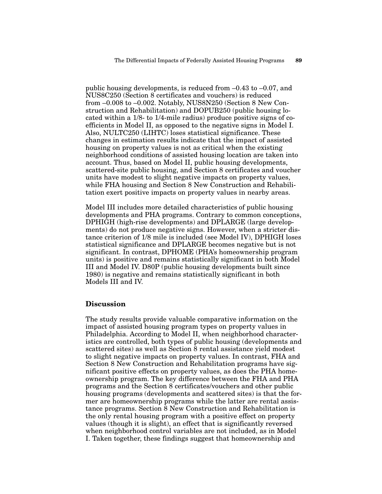public housing developments, is reduced from –0.43 to –0.07, and NUS8C250 (Section 8 certificates and vouchers) is reduced from –0.008 to –0.002. Notably, NUS8N250 (Section 8 New Construction and Rehabilitation) and DOPUB250 (public housing located within a 1/8- to 1/4-mile radius) produce positive signs of coefficients in Model II, as opposed to the negative signs in Model I. Also, NULTC250 (LIHTC) loses statistical significance. These changes in estimation results indicate that the impact of assisted housing on property values is not as critical when the existing neighborhood conditions of assisted housing location are taken into account. Thus, based on Model II, public housing developments, scattered-site public housing, and Section 8 certificates and voucher units have modest to slight negative impacts on property values, while FHA housing and Section 8 New Construction and Rehabilitation exert positive impacts on property values in nearby areas.

Model III includes more detailed characteristics of public housing developments and PHA programs. Contrary to common conceptions, DPHIGH (high-rise developments) and DPLARGE (large developments) do not produce negative signs. However, when a stricter distance criterion of 1/8 mile is included (see Model IV), DPHIGH loses statistical significance and DPLARGE becomes negative but is not significant. In contrast, DPHOME (PHA's homeownership program units) is positive and remains statistically significant in both Model III and Model IV. D80P (public housing developments built since 1980) is negative and remains statistically significant in both Models III and IV.

#### **Discussion**

The study results provide valuable comparative information on the impact of assisted housing program types on property values in Philadelphia. According to Model II, when neighborhood characteristics are controlled, both types of public housing (developments and scattered sites) as well as Section 8 rental assistance yield modest to slight negative impacts on property values. In contrast, FHA and Section 8 New Construction and Rehabilitation programs have significant positive effects on property values, as does the PHA homeownership program. The key difference between the FHA and PHA programs and the Section 8 certificates/vouchers and other public housing programs (developments and scattered sites) is that the former are homeownership programs while the latter are rental assistance programs. Section 8 New Construction and Rehabilitation is the only rental housing program with a positive effect on property values (though it is slight), an effect that is significantly reversed when neighborhood control variables are not included, as in Model I. Taken together, these findings suggest that homeownership and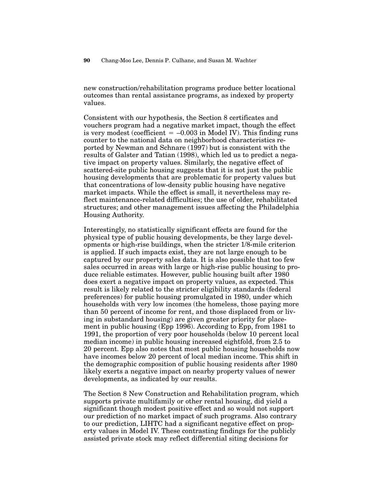new construction/rehabilitation programs produce better locational outcomes than rental assistance programs, as indexed by property values.

Consistent with our hypothesis, the Section 8 certificates and vouchers program had a negative market impact, though the effect is very modest (coefficient  $= -0.003$  in Model IV). This finding runs counter to the national data on neighborhood characteristics reported by Newman and Schnare (1997) but is consistent with the results of Galster and Tatian (1998), which led us to predict a negative impact on property values. Similarly, the negative effect of scattered-site public housing suggests that it is not just the public housing developments that are problematic for property values but that concentrations of low-density public housing have negative market impacts. While the effect is small, it nevertheless may reflect maintenance-related difficulties; the use of older, rehabilitated structures; and other management issues affecting the Philadelphia Housing Authority.

Interestingly, no statistically significant effects are found for the physical type of public housing developments, be they large developments or high-rise buildings, when the stricter 1/8-mile criterion is applied. If such impacts exist, they are not large enough to be captured by our property sales data. It is also possible that too few sales occurred in areas with large or high-rise public housing to produce reliable estimates. However, public housing built after 1980 does exert a negative impact on property values, as expected. This result is likely related to the stricter eligibility standards (federal preferences) for public housing promulgated in 1980, under which households with very low incomes (the homeless, those paying more than 50 percent of income for rent, and those displaced from or living in substandard housing) are given greater priority for placement in public housing (Epp 1996). According to Epp, from 1981 to 1991, the proportion of very poor households (below 10 percent local median income) in public housing increased eightfold, from 2.5 to 20 percent. Epp also notes that most public housing households now have incomes below 20 percent of local median income. This shift in the demographic composition of public housing residents after 1980 likely exerts a negative impact on nearby property values of newer developments, as indicated by our results.

The Section 8 New Construction and Rehabilitation program, which supports private multifamily or other rental housing, did yield a significant though modest positive effect and so would not support our prediction of no market impact of such programs. Also contrary to our prediction, LIHTC had a significant negative effect on property values in Model IV. These contrasting findings for the publicly assisted private stock may reflect differential siting decisions for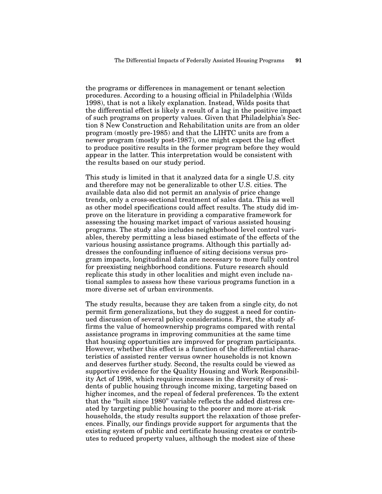the programs or differences in management or tenant selection procedures. According to a housing official in Philadelphia (Wilds 1998), that is not a likely explanation. Instead, Wilds posits that the differential effect is likely a result of a lag in the positive impact of such programs on property values. Given that Philadelphia's Section 8 New Construction and Rehabilitation units are from an older program (mostly pre-1985) and that the LIHTC units are from a newer program (mostly post-1987), one might expect the lag effect to produce positive results in the former program before they would appear in the latter. This interpretation would be consistent with the results based on our study period.

This study is limited in that it analyzed data for a single U.S. city and therefore may not be generalizable to other U.S. cities. The available data also did not permit an analysis of price change trends, only a cross-sectional treatment of sales data. This as well as other model specifications could affect results. The study did improve on the literature in providing a comparative framework for assessing the housing market impact of various assisted housing programs. The study also includes neighborhood level control variables, thereby permitting a less biased estimate of the effects of the various housing assistance programs. Although this partially addresses the confounding influence of siting decisions versus program impacts, longitudinal data are necessary to more fully control for preexisting neighborhood conditions. Future research should replicate this study in other localities and might even include national samples to assess how these various programs function in a more diverse set of urban environments.

The study results, because they are taken from a single city, do not permit firm generalizations, but they do suggest a need for continued discussion of several policy considerations. First, the study affirms the value of homeownership programs compared with rental assistance programs in improving communities at the same time that housing opportunities are improved for program participants. However, whether this effect is a function of the differential characteristics of assisted renter versus owner households is not known and deserves further study. Second, the results could be viewed as supportive evidence for the Quality Housing and Work Responsibility Act of 1998, which requires increases in the diversity of residents of public housing through income mixing, targeting based on higher incomes, and the repeal of federal preferences. To the extent that the ''built since 1980'' variable reflects the added distress created by targeting public housing to the poorer and more at-risk households, the study results support the relaxation of those preferences. Finally, our findings provide support for arguments that the existing system of public and certificate housing creates or contributes to reduced property values, although the modest size of these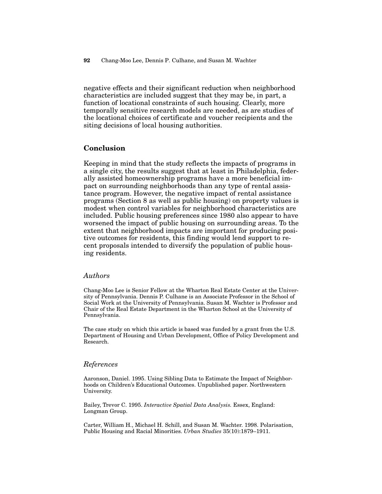negative effects and their significant reduction when neighborhood characteristics are included suggest that they may be, in part, a function of locational constraints of such housing. Clearly, more temporally sensitive research models are needed, as are studies of the locational choices of certificate and voucher recipients and the siting decisions of local housing authorities.

## **Conclusion**

Keeping in mind that the study reflects the impacts of programs in a single city, the results suggest that at least in Philadelphia, federally assisted homeownership programs have a more beneficial impact on surrounding neighborhoods than any type of rental assistance program. However, the negative impact of rental assistance programs (Section 8 as well as public housing) on property values is modest when control variables for neighborhood characteristics are included. Public housing preferences since 1980 also appear to have worsened the impact of public housing on surrounding areas. To the extent that neighborhood impacts are important for producing positive outcomes for residents, this finding would lend support to recent proposals intended to diversify the population of public housing residents.

#### *Authors*

Chang-Moo Lee is Senior Fellow at the Wharton Real Estate Center at the University of Pennsylvania. Dennis P. Culhane is an Associate Professor in the School of Social Work at the University of Pennsylvania. Susan M. Wachter is Professor and Chair of the Real Estate Department in the Wharton School at the University of Pennsylvania.

The case study on which this article is based was funded by a grant from the U.S. Department of Housing and Urban Development, Office of Policy Development and Research.

#### *References*

Aaronson, Daniel. 1995. Using Sibling Data to Estimate the Impact of Neighborhoods on Children's Educational Outcomes. Unpublished paper. Northwestern University.

Bailey, Trevor C. 1995. *Interactive Spatial Data Analysis.* Essex, England: Longman Group.

Carter, William H., Michael H. Schill, and Susan M. Wachter. 1998. Polarisation, Public Housing and Racial Minorities. *Urban Studies* 35(10):1879–1911.